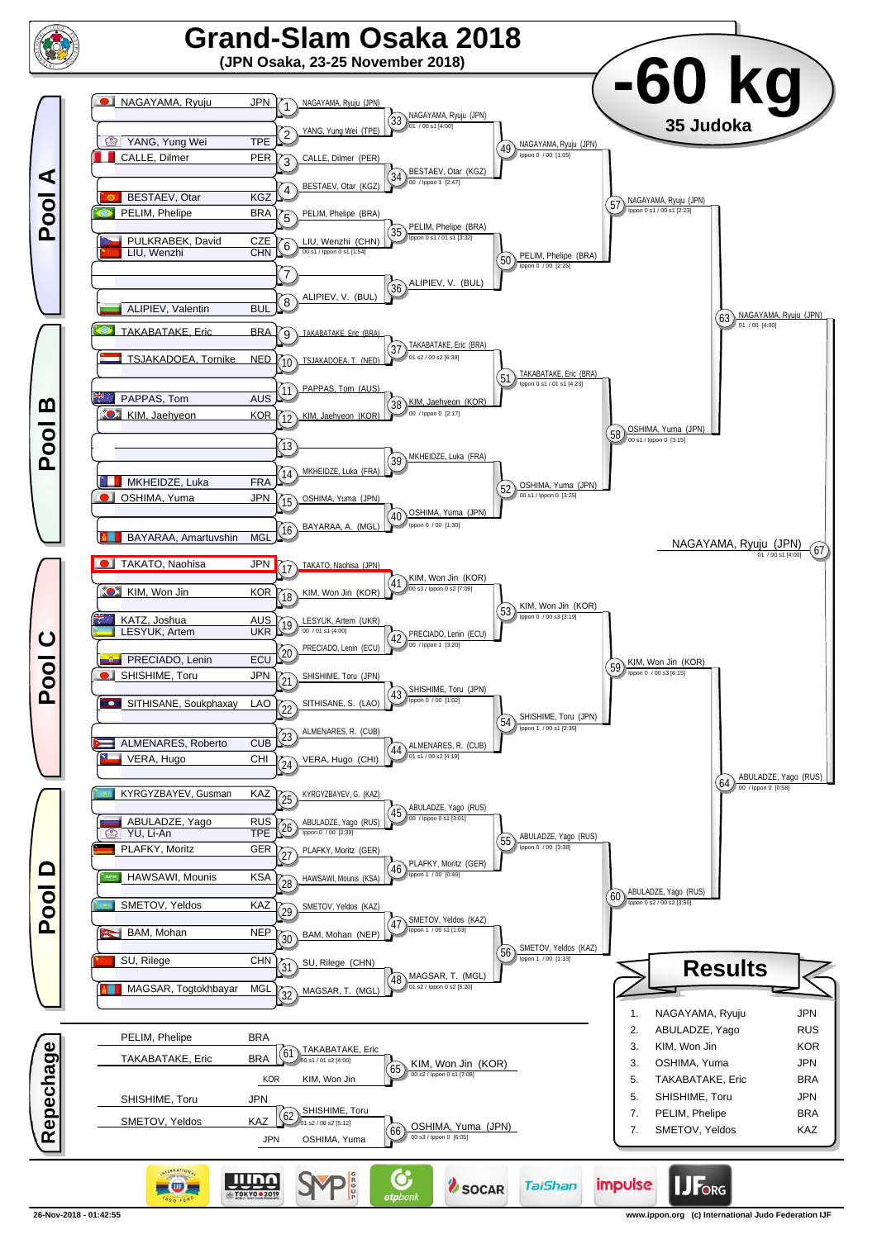

**26-Nov-2018 - 01:42:55 www.ippon.org (c) International Judo Federation IJF**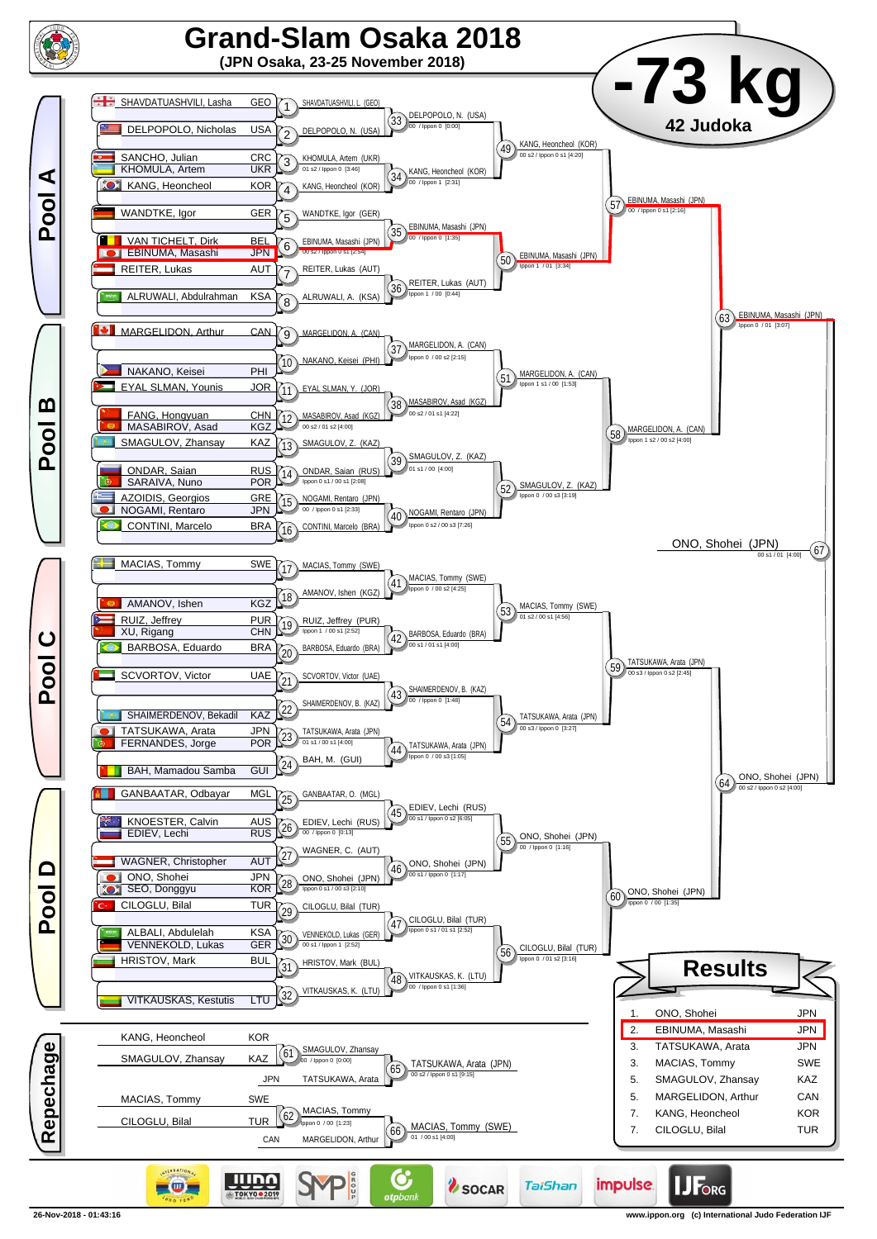

**26-Nov-2018 - 01:43:16 www.ippon.org (c) International Judo Federation IJF**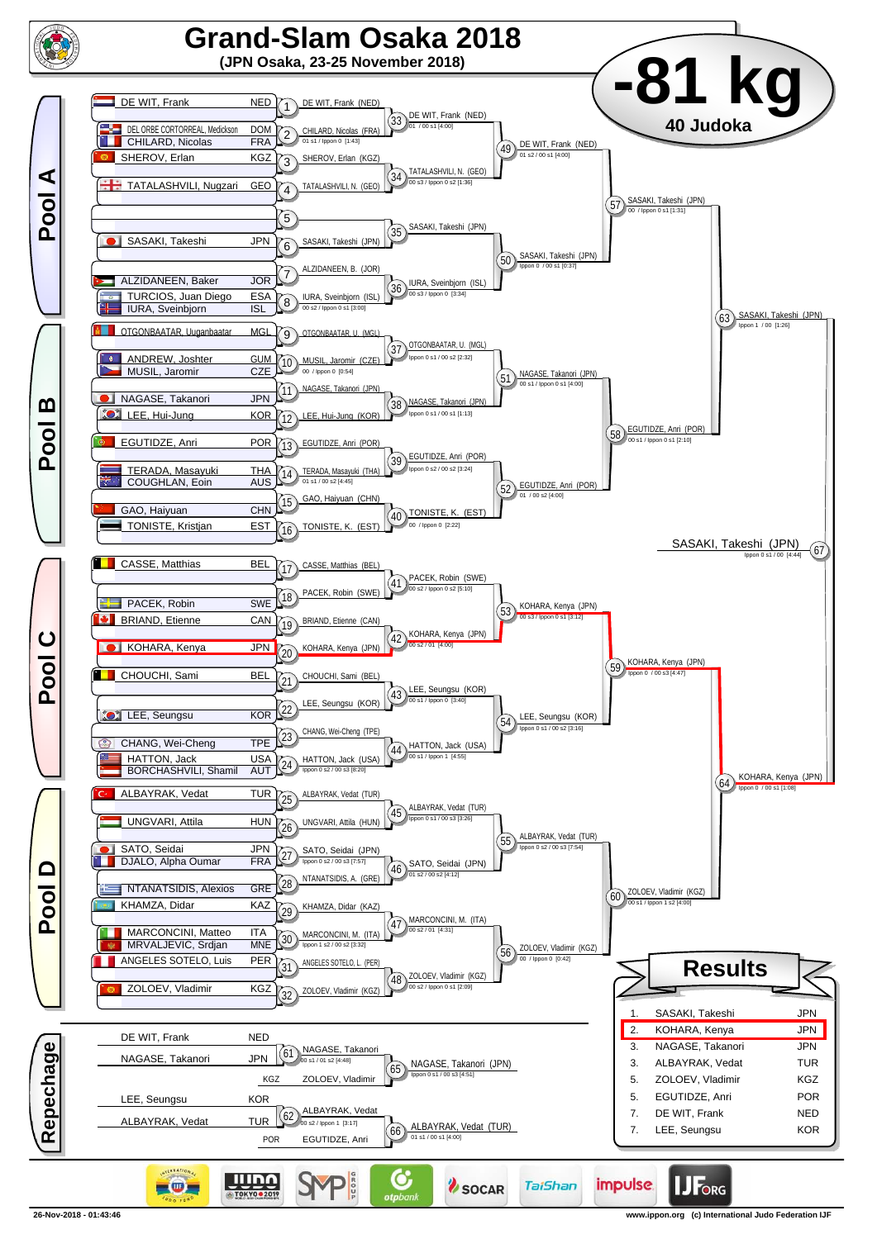

**26-Nov-2018 - 01:43:46 www.ippon.org (c) International Judo Federation IJF**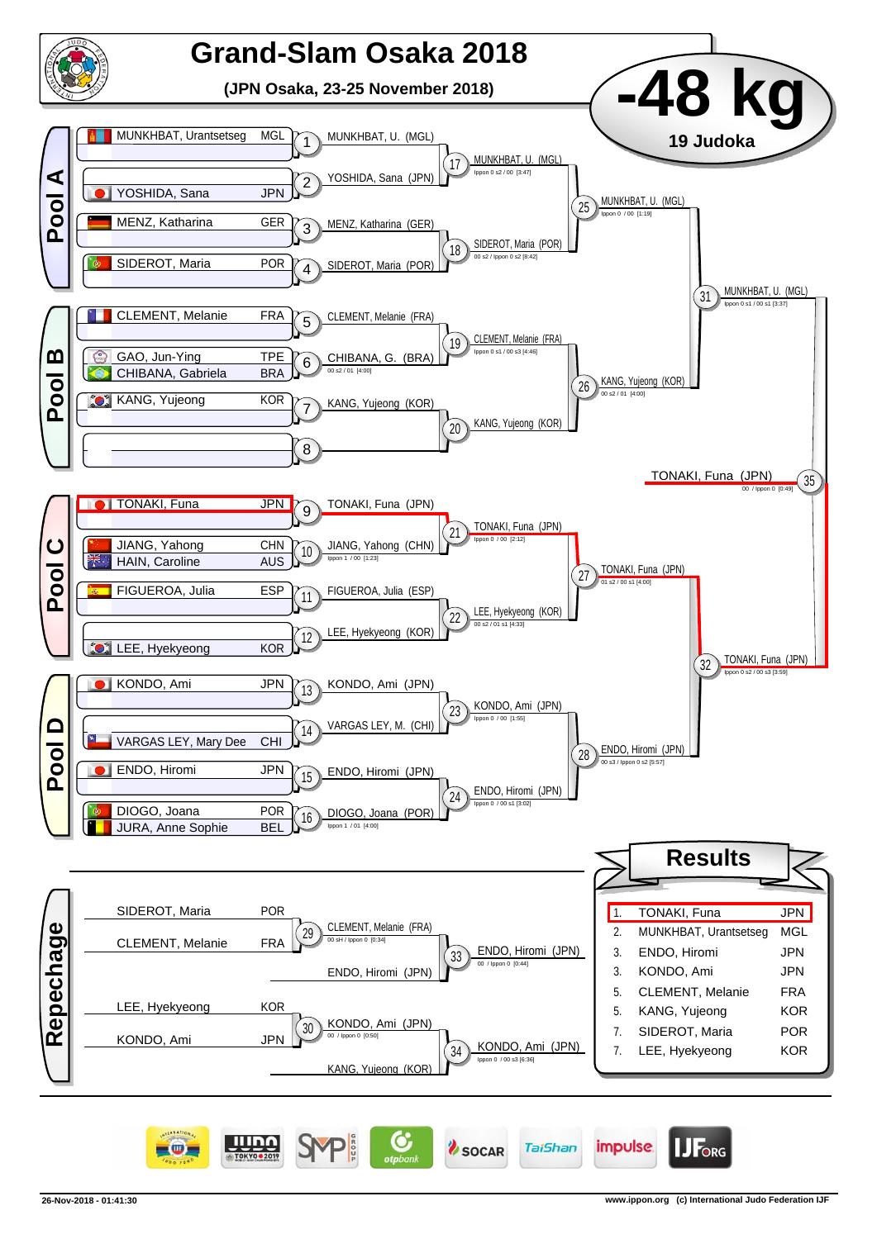